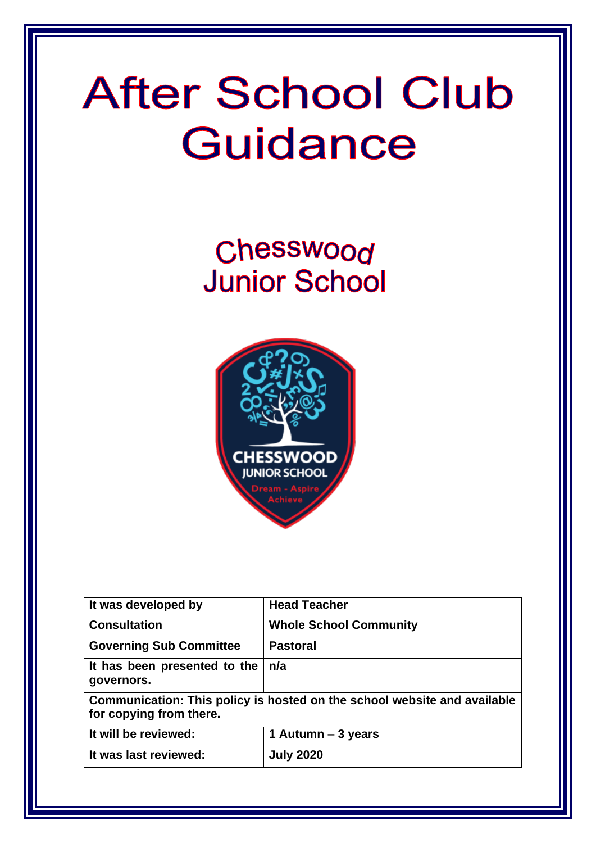# **After School Club** Guidance

Chesswood **Junior School** 



| It was developed by                                                                                 | <b>Head Teacher</b>           |  |
|-----------------------------------------------------------------------------------------------------|-------------------------------|--|
| <b>Consultation</b>                                                                                 | <b>Whole School Community</b> |  |
| <b>Governing Sub Committee</b>                                                                      | <b>Pastoral</b>               |  |
| It has been presented to the<br>governors.                                                          | n/a                           |  |
| Communication: This policy is hosted on the school website and available<br>for copying from there. |                               |  |
| It will be reviewed:                                                                                | 1 Autumn – 3 years            |  |
| It was last reviewed:                                                                               | <b>July 2020</b>              |  |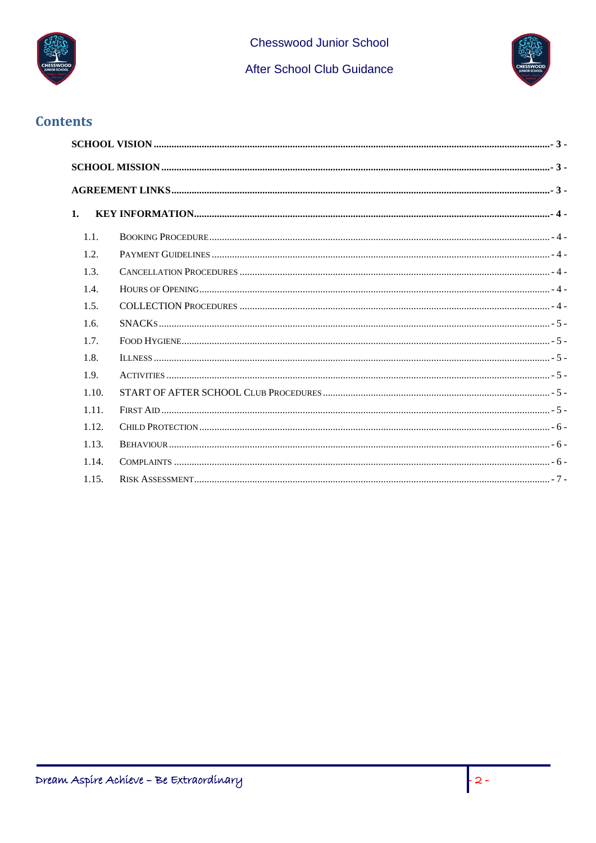

**Chesswood Junior School** 

After School Club Guidance



#### **Contents**

| 1.    |  |  |  |  |
|-------|--|--|--|--|
| 1.1.  |  |  |  |  |
| 1.2.  |  |  |  |  |
| 1.3.  |  |  |  |  |
| 1.4.  |  |  |  |  |
| 1.5.  |  |  |  |  |
| 1.6.  |  |  |  |  |
| 1.7.  |  |  |  |  |
| 1.8.  |  |  |  |  |
| 1.9.  |  |  |  |  |
| 1.10. |  |  |  |  |
| 1.11. |  |  |  |  |
| 1.12. |  |  |  |  |
| 1.13. |  |  |  |  |
| 1.14. |  |  |  |  |
| 1.15. |  |  |  |  |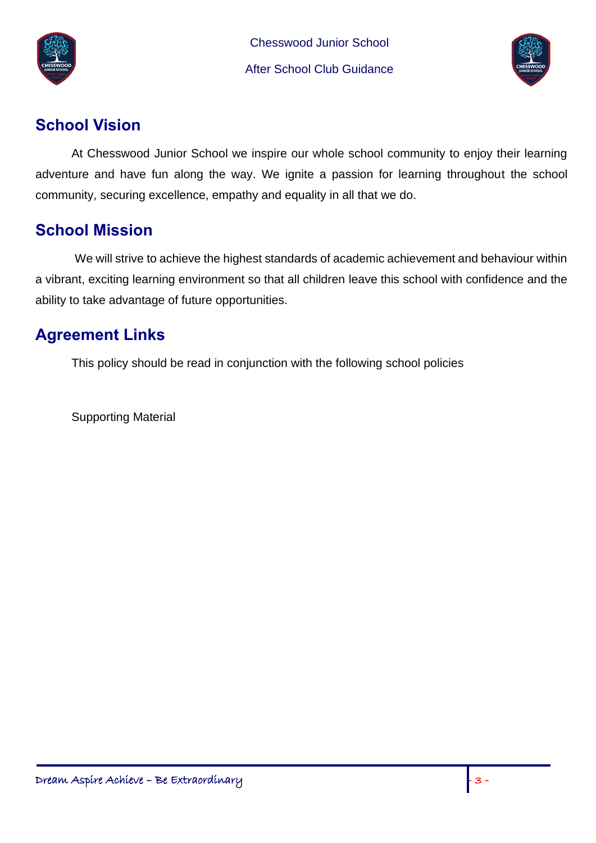

Chesswood Junior School After School Club Guidance



# <span id="page-2-0"></span>**School Vision**

At Chesswood Junior School we inspire our whole school community to enjoy their learning adventure and have fun along the way. We ignite a passion for learning throughout the school community, securing excellence, empathy and equality in all that we do.

## <span id="page-2-1"></span>**School Mission**

We will strive to achieve the highest standards of academic achievement and behaviour within a vibrant, exciting learning environment so that all children leave this school with confidence and the ability to take advantage of future opportunities.

# <span id="page-2-2"></span>**Agreement Links**

This policy should be read in conjunction with the following school policies

Supporting Material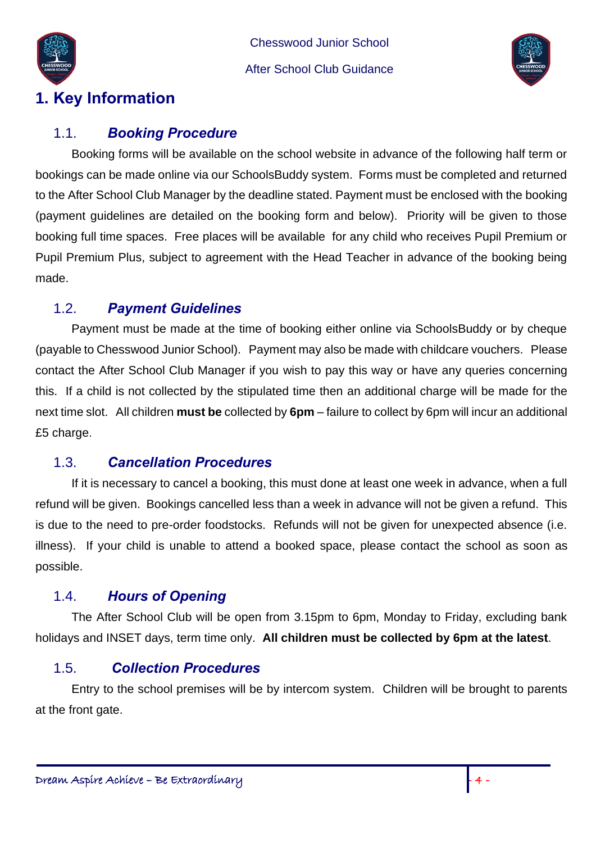

Chesswood Junior School After School Club Guidance



# <span id="page-3-0"></span>**1. Key Information**

#### <span id="page-3-1"></span>1.1. *Booking Procedure*

Booking forms will be available on the school website in advance of the following half term or bookings can be made online via our SchoolsBuddy system. Forms must be completed and returned to the After School Club Manager by the deadline stated. Payment must be enclosed with the booking (payment guidelines are detailed on the booking form and below). Priority will be given to those booking full time spaces. Free places will be available for any child who receives Pupil Premium or Pupil Premium Plus, subject to agreement with the Head Teacher in advance of the booking being made.

### <span id="page-3-2"></span>1.2. *Payment Guidelines*

Payment must be made at the time of booking either online via SchoolsBuddy or by cheque (payable to Chesswood Junior School). Payment may also be made with childcare vouchers. Please contact the After School Club Manager if you wish to pay this way or have any queries concerning this. If a child is not collected by the stipulated time then an additional charge will be made for the next time slot. All children **must be** collected by **6pm** – failure to collect by 6pm will incur an additional £5 charge.

### <span id="page-3-3"></span>1.3. *Cancellation Procedures*

If it is necessary to cancel a booking, this must done at least one week in advance, when a full refund will be given. Bookings cancelled less than a week in advance will not be given a refund. This is due to the need to pre-order foodstocks. Refunds will not be given for unexpected absence (i.e. illness). If your child is unable to attend a booked space, please contact the school as soon as possible.

### <span id="page-3-4"></span>1.4. *Hours of Opening*

The After School Club will be open from 3.15pm to 6pm, Monday to Friday, excluding bank holidays and INSET days, term time only. **All children must be collected by 6pm at the latest**.

### <span id="page-3-5"></span>1.5. *Collection Procedures*

Entry to the school premises will be by intercom system. Children will be brought to parents at the front gate.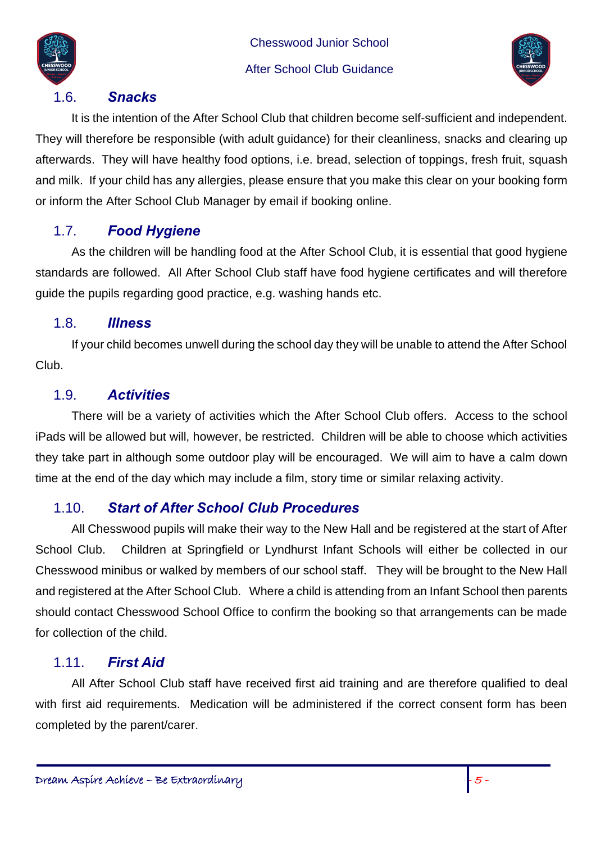

Chesswood Junior School

#### After School Club Guidance



#### 1.6. *Snacks*

It is the intention of the After School Club that children become self-sufficient and independent. They will therefore be responsible (with adult guidance) for their cleanliness, snacks and clearing up afterwards. They will have healthy food options, i.e. bread, selection of toppings, fresh fruit, squash and milk. If your child has any allergies, please ensure that you make this clear on your booking form or inform the After School Club Manager by email if booking online.

#### <span id="page-4-0"></span>1.7. *Food Hygiene*

As the children will be handling food at the After School Club, it is essential that good hygiene standards are followed. All After School Club staff have food hygiene certificates and will therefore guide the pupils regarding good practice, e.g. washing hands etc.

#### <span id="page-4-1"></span>1.8. *Illness*

If your child becomes unwell during the school day they will be unable to attend the After School Club.

#### <span id="page-4-2"></span>1.9. *Activities*

There will be a variety of activities which the After School Club offers. Access to the school iPads will be allowed but will, however, be restricted. Children will be able to choose which activities they take part in although some outdoor play will be encouraged. We will aim to have a calm down time at the end of the day which may include a film, story time or similar relaxing activity.

#### <span id="page-4-3"></span>1.10. *Start of After School Club Procedures*

All Chesswood pupils will make their way to the New Hall and be registered at the start of After School Club. Children at Springfield or Lyndhurst Infant Schools will either be collected in our Chesswood minibus or walked by members of our school staff. They will be brought to the New Hall and registered at the After School Club. Where a child is attending from an Infant School then parents should contact Chesswood School Office to confirm the booking so that arrangements can be made for collection of the child.

#### <span id="page-4-4"></span>1.11. *First Aid*

All After School Club staff have received first aid training and are therefore qualified to deal with first aid requirements. Medication will be administered if the correct consent form has been completed by the parent/carer.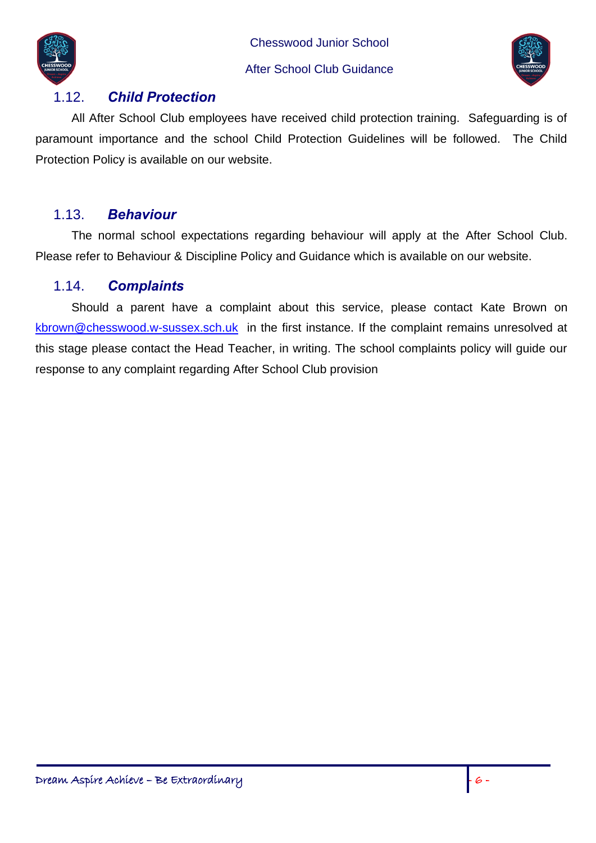Chesswood Junior School



#### After School Club Guidance



### <span id="page-5-0"></span>1.12. *Child Protection*

All After School Club employees have received child protection training. Safeguarding is of paramount importance and the school Child Protection Guidelines will be followed. The Child Protection Policy is available on our website.

#### <span id="page-5-1"></span>1.13. *Behaviour*

The normal school expectations regarding behaviour will apply at the After School Club. Please refer to Behaviour & Discipline Policy and Guidance which is available on our website.

### <span id="page-5-2"></span>1.14. *Complaints*

Should a parent have a complaint about this service, please contact Kate Brown on [kbrown@chesswood.w-sussex.sch.uk](mailto:kbrown@chesswood.w-sussex.sch.uk) in the first instance. If the complaint remains unresolved at this stage please contact the Head Teacher, in writing. The school complaints policy will guide our response to any complaint regarding After School Club provision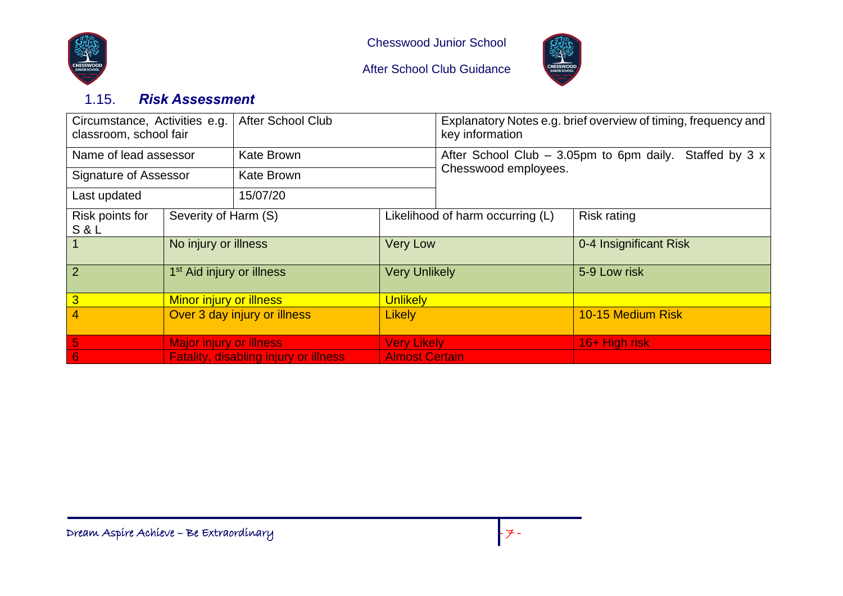



CHESSWO

### 1.15. *Risk Assessment*

<span id="page-6-0"></span>

| Circumstance, Activities e.g.<br>classroom, school fair |                                              | <b>After School Club</b> |                                  | Explanatory Notes e.g. brief overview of timing, frequency and<br>key information |                        |  |  |
|---------------------------------------------------------|----------------------------------------------|--------------------------|----------------------------------|-----------------------------------------------------------------------------------|------------------------|--|--|
| Name of lead assessor                                   |                                              | <b>Kate Brown</b>        |                                  | After School Club $-$ 3.05pm to 6pm daily. Staffed by 3 x<br>Chesswood employees. |                        |  |  |
| Signature of Assessor                                   |                                              | <b>Kate Brown</b>        |                                  |                                                                                   |                        |  |  |
| Last updated                                            |                                              | 15/07/20                 |                                  |                                                                                   |                        |  |  |
| Risk points for<br>Severity of Harm (S)<br>S&L          |                                              |                          | Likelihood of harm occurring (L) |                                                                                   | <b>Risk rating</b>     |  |  |
|                                                         | No injury or illness                         |                          | <b>Very Low</b>                  |                                                                                   | 0-4 Insignificant Risk |  |  |
| $\overline{2}$                                          | 1 <sup>st</sup> Aid injury or illness        |                          | <b>Very Unlikely</b>             |                                                                                   | 5-9 Low risk           |  |  |
| 3                                                       | <b>Minor injury or illness</b>               |                          | <b>Unlikely</b>                  |                                                                                   |                        |  |  |
| 4                                                       | Over 3 day injury or illness                 |                          | <b>Likely</b>                    |                                                                                   | 10-15 Medium Risk      |  |  |
| 5                                                       | <b>Major injury or illness</b>               |                          | <b>Very Likely</b>               |                                                                                   | 16+ High risk          |  |  |
| 6                                                       | <b>Fatality, disabling injury or illness</b> |                          | <b>Almost Certain</b>            |                                                                                   |                        |  |  |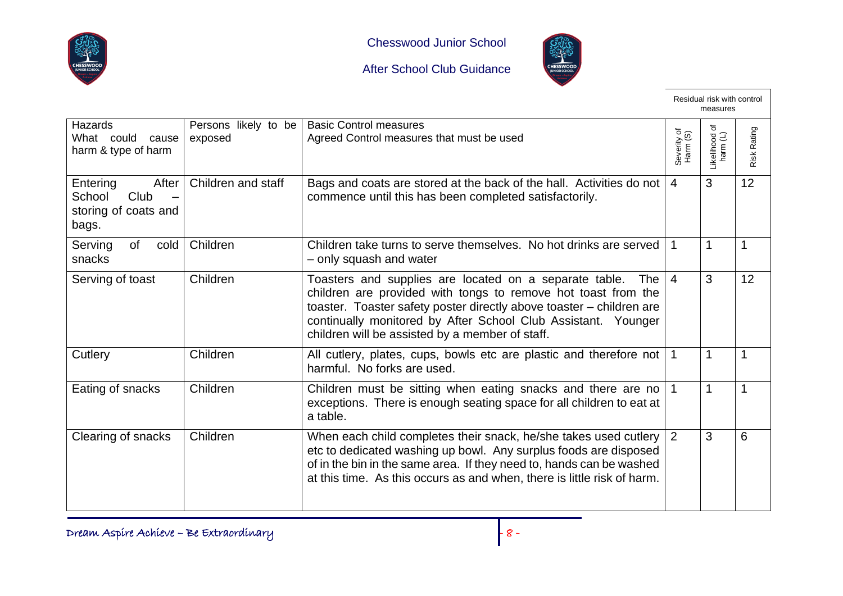



CHESSWO

|                                                                                                  |                                 |                                                                                                                                                                                                                                                                                                                                    |                         | Residual risk with control<br>measures |             |
|--------------------------------------------------------------------------------------------------|---------------------------------|------------------------------------------------------------------------------------------------------------------------------------------------------------------------------------------------------------------------------------------------------------------------------------------------------------------------------------|-------------------------|----------------------------------------|-------------|
| <b>Hazards</b><br>What could cause<br>harm & type of harm                                        | Persons likely to be<br>exposed | <b>Basic Control measures</b><br>Agreed Control measures that must be used                                                                                                                                                                                                                                                         | Severity of<br>Harm (S) | ৳<br>Likelihood o<br>harm (L)          | Risk Rating |
| Entering<br>After<br>School<br>Club<br>$\overline{\phantom{0}}$<br>storing of coats and<br>bags. | Children and staff              | Bags and coats are stored at the back of the hall. Activities do not<br>commence until this has been completed satisfactorily.                                                                                                                                                                                                     | $\overline{4}$          | 3                                      | 12          |
| Serving<br>of<br>cold<br>snacks                                                                  | Children                        | Children take turns to serve themselves. No hot drinks are served<br>- only squash and water                                                                                                                                                                                                                                       |                         |                                        | 1           |
| Serving of toast                                                                                 | Children                        | Toasters and supplies are located on a separate table.<br>The $\vert$<br>children are provided with tongs to remove hot toast from the<br>toaster. Toaster safety poster directly above toaster - children are<br>continually monitored by After School Club Assistant. Younger<br>children will be assisted by a member of staff. | $\overline{4}$          | 3                                      | 12          |
| Cutlery                                                                                          | Children                        | All cutlery, plates, cups, bowls etc are plastic and therefore not   1<br>harmful. No forks are used.                                                                                                                                                                                                                              |                         | 1                                      | 1           |
| Eating of snacks                                                                                 | Children                        | Children must be sitting when eating snacks and there are no   1<br>exceptions. There is enough seating space for all children to eat at<br>a table.                                                                                                                                                                               |                         |                                        | 1           |
| Clearing of snacks                                                                               | Children                        | When each child completes their snack, he/she takes used cutlery $\vert 2 \vert$<br>etc to dedicated washing up bowl. Any surplus foods are disposed<br>of in the bin in the same area. If they need to, hands can be washed<br>at this time. As this occurs as and when, there is little risk of harm.                            |                         | 3                                      | 6           |